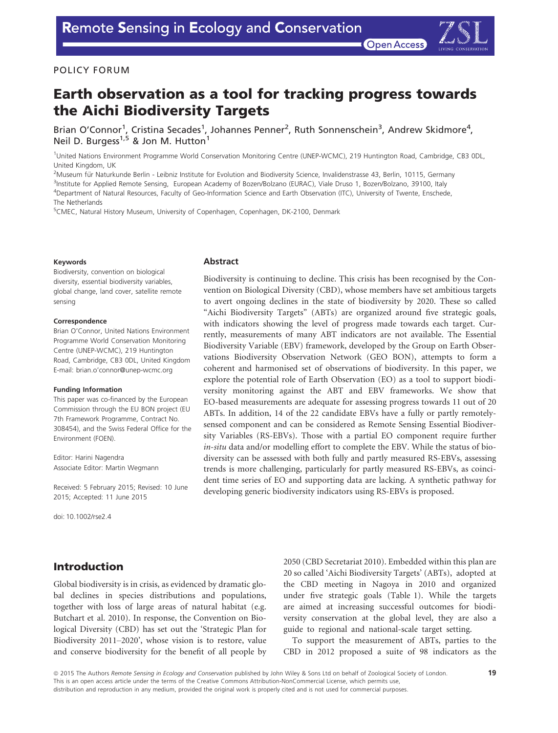#### POLICY FORUM

# **Open Access**

Biodiversity is continuing to decline. This crisis has been recognised by the Convention on Biological Diversity (CBD), whose members have set ambitious targets to avert ongoing declines in the state of biodiversity by 2020. These so called "Aichi Biodiversity Targets" (ABTs) are organized around five strategic goals, with indicators showing the level of progress made towards each target. Currently, measurements of many ABT indicators are not available. The Essential Biodiversity Variable (EBV) framework, developed by the Group on Earth Observations Biodiversity Observation Network (GEO BON), attempts to form a coherent and harmonised set of observations of biodiversity. In this paper, we explore the potential role of Earth Observation (EO) as a tool to support biodiversity monitoring against the ABT and EBV frameworks. We show that EO-based measurements are adequate for assessing progress towards 11 out of 20 ABTs. In addition, 14 of the 22 candidate EBVs have a fully or partly remotelysensed component and can be considered as Remote Sensing Essential Biodiversity Variables (RS-EBVs). Those with a partial EO component require further in-situ data and/or modelling effort to complete the EBV. While the status of biodiversity can be assessed with both fully and partly measured RS-EBVs, assessing trends is more challenging, particularly for partly measured RS-EBVs, as coincident time series of EO and supporting data are lacking. A synthetic pathway for

developing generic biodiversity indicators using RS-EBVs is proposed.

## Earth observation as a tool for tracking progress towards the Aichi Biodiversity Targets

Brian O'Connor<sup>1</sup>, Cristina Secades<sup>1</sup>, Johannes Penner<sup>2</sup>, Ruth Sonnenschein<sup>3</sup>, Andrew Skidmore<sup>4</sup>, Neil D. Burgess<sup>1,5</sup> & Jon M. Hutton<sup>1</sup>

<sup>1</sup>United Nations Environment Programme World Conservation Monitoring Centre (UNEP-WCMC), 219 Huntington Road, Cambridge, CB3 ODL, United Kingdom, UK

<sup>2</sup>Museum für Naturkunde Berlin - Leibniz Institute for Evolution and Biodiversity Science, Invalidenstrasse 43, Berlin, 10115, Germany

3Institute for Applied Remote Sensing, European Academy of Bozen/Bolzano (EURAC), Viale Druso 1, Bozen/Bolzano, 39100, Italy

4 Department of Natural Resources, Faculty of Geo-Information Science and Earth Observation (ITC), University of Twente, Enschede,

The Netherlands

<sup>5</sup>CMEC, Natural History Museum, University of Copenhagen, Copenhagen, DK-2100, Denmark

Abstract

#### Keywords

Biodiversity, convention on biological diversity, essential biodiversity variables, global change, land cover, satellite remote sensing

#### Correspondence

Brian O'Connor, United Nations Environment Programme World Conservation Monitoring Centre (UNEP-WCMC), 219 Huntington Road, Cambridge, CB3 0DL, United Kingdom E-mail: brian.o'connor@unep-wcmc.org

#### Funding Information

This paper was co-financed by the European Commission through the EU BON project (EU 7th Framework Programme, Contract No. 308454), and the Swiss Federal Office for the Environment (FOEN).

Editor: Harini Nagendra Associate Editor: Martin Wegmann

Received: 5 February 2015; Revised: 10 June 2015; Accepted: 11 June 2015

doi: 10.1002/rse2.4

## Introduction

Global biodiversity is in crisis, as evidenced by dramatic global declines in species distributions and populations, together with loss of large areas of natural habitat (e.g. Butchart et al. 2010). In response, the Convention on Biological Diversity (CBD) has set out the 'Strategic Plan for Biodiversity 2011–2020', whose vision is to restore, value and conserve biodiversity for the benefit of all people by 2050 (CBD Secretariat 2010). Embedded within this plan are 20 so called 'Aichi Biodiversity Targets' (ABTs), adopted at the CBD meeting in Nagoya in 2010 and organized under five strategic goals (Table 1). While the targets are aimed at increasing successful outcomes for biodiversity conservation at the global level, they are also a guide to regional and national-scale target setting.

To support the measurement of ABTs, parties to the CBD in 2012 proposed a suite of 98 indicators as the

ª 2015 The Authors Remote Sensing in Ecology and Conservation published by John Wiley & Sons Ltd on behalf of Zoological Society of London. This is an open access article under the terms of the [Creative Commons Attribution-NonCommercial](http://creativecommons.org/licenses/by-nc/4.0/) License, which permits use, distribution and reproduction in any medium, provided the original work is properly cited and is not used for commercial purposes.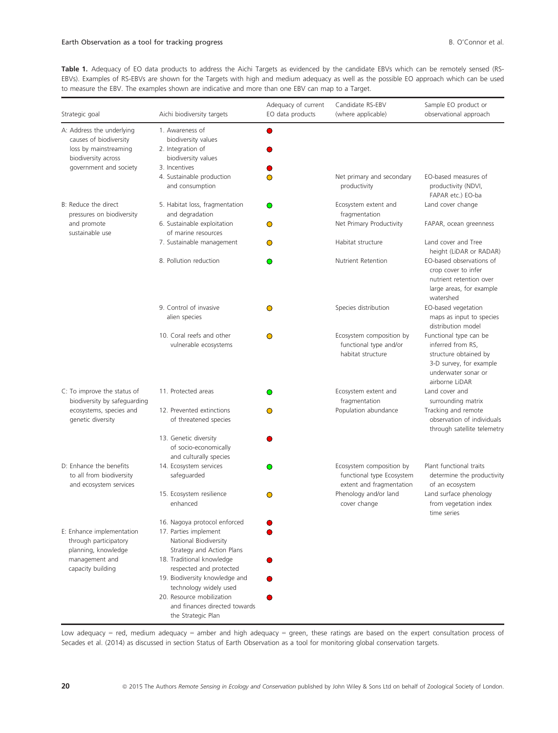Table 1. Adequacy of EO data products to address the Aichi Targets as evidenced by the candidate EBVs which can be remotely sensed (RS-EBVs). Examples of RS-EBVs are shown for the Targets with high and medium adequacy as well as the possible EO approach which can be used to measure the EBV. The examples shown are indicative and more than one EBV can map to a Target.

| Strategic goal                                                                                                                | Aichi biodiversity targets                                                                                                                                                                                                                                                                                          | Adequacy of current<br>EO data products | Candidate RS-EBV<br>(where applicable)                                            | Sample EO product or<br>observational approach                                                                                             |  |
|-------------------------------------------------------------------------------------------------------------------------------|---------------------------------------------------------------------------------------------------------------------------------------------------------------------------------------------------------------------------------------------------------------------------------------------------------------------|-----------------------------------------|-----------------------------------------------------------------------------------|--------------------------------------------------------------------------------------------------------------------------------------------|--|
| A: Address the underlying<br>causes of biodiversity<br>loss by mainstreaming<br>biodiversity across<br>government and society | 1. Awareness of<br>biodiversity values<br>2. Integration of<br>biodiversity values<br>3. Incentives                                                                                                                                                                                                                 | O                                       |                                                                                   |                                                                                                                                            |  |
|                                                                                                                               | 4. Sustainable production<br>and consumption                                                                                                                                                                                                                                                                        | ∩                                       | Net primary and secondary<br>productivity                                         | EO-based measures of<br>productivity (NDVI,<br>FAPAR etc.) EO-ba                                                                           |  |
| B: Reduce the direct<br>pressures on biodiversity                                                                             | 5. Habitat loss, fragmentation<br>and degradation                                                                                                                                                                                                                                                                   | $\bullet$                               | Ecosystem extent and<br>fragmentation                                             | Land cover change                                                                                                                          |  |
| and promote<br>sustainable use                                                                                                | 6. Sustainable exploitation<br>of marine resources                                                                                                                                                                                                                                                                  | $\bullet$                               | Net Primary Productivity                                                          | FAPAR, ocean greenness                                                                                                                     |  |
|                                                                                                                               | 7. Sustainable management                                                                                                                                                                                                                                                                                           | $\bullet$                               | Habitat structure                                                                 | Land cover and Tree<br>height (LiDAR or RADAR)                                                                                             |  |
|                                                                                                                               | 8. Pollution reduction                                                                                                                                                                                                                                                                                              |                                         | Nutrient Retention                                                                | EO-based observations of<br>crop cover to infer<br>nutrient retention over<br>large areas, for example<br>watershed                        |  |
|                                                                                                                               | 9. Control of invasive<br>alien species                                                                                                                                                                                                                                                                             | $\bullet$                               | Species distribution                                                              | EO-based vegetation<br>maps as input to species<br>distribution model                                                                      |  |
|                                                                                                                               | 10. Coral reefs and other<br>vulnerable ecosystems                                                                                                                                                                                                                                                                  | $\bullet$                               | Ecosystem composition by<br>functional type and/or<br>habitat structure           | Functional type can be<br>inferred from RS,<br>structure obtained by<br>3-D survey, for example<br>underwater sonar or<br>airborne LiDAR   |  |
| C: To improve the status of<br>biodiversity by safeguarding                                                                   | 11. Protected areas                                                                                                                                                                                                                                                                                                 | O                                       | Ecosystem extent and<br>fragmentation                                             | Land cover and<br>surrounding matrix                                                                                                       |  |
| ecosystems, species and<br>genetic diversity                                                                                  | 12. Prevented extinctions<br>of threatened species                                                                                                                                                                                                                                                                  | O                                       | Population abundance                                                              | Tracking and remote<br>observation of individuals<br>through satellite telemetry                                                           |  |
|                                                                                                                               | 13. Genetic diversity<br>of socio-economically<br>and culturally species                                                                                                                                                                                                                                            |                                         |                                                                                   |                                                                                                                                            |  |
| D: Enhance the benefits<br>to all from biodiversity<br>and ecosystem services                                                 | 14. Ecosystem services<br>safeguarded                                                                                                                                                                                                                                                                               |                                         | Ecosystem composition by<br>functional type Ecosystem<br>extent and fragmentation | Plant functional traits<br>determine the productivity<br>of an ecosystem<br>Land surface phenology<br>from vegetation index<br>time series |  |
|                                                                                                                               | 15. Ecosystem resilience<br>enhanced                                                                                                                                                                                                                                                                                | O                                       | Phenology and/or land<br>cover change                                             |                                                                                                                                            |  |
| E: Enhance implementation<br>through participatory<br>planning, knowledge<br>management and<br>capacity building              | 16. Nagoya protocol enforced<br>17. Parties implement<br>National Biodiversity<br>Strategy and Action Plans<br>18. Traditional knowledge<br>respected and protected<br>19. Biodiversity knowledge and<br>technology widely used<br>20. Resource mobilization<br>and finances directed towards<br>the Strategic Plan |                                         |                                                                                   |                                                                                                                                            |  |

Low adequacy = red, medium adequacy = amber and high adequacy = green, these ratings are based on the expert consultation process of Secades et al. (2014) as discussed in section Status of Earth Observation as a tool for monitoring global conservation targets.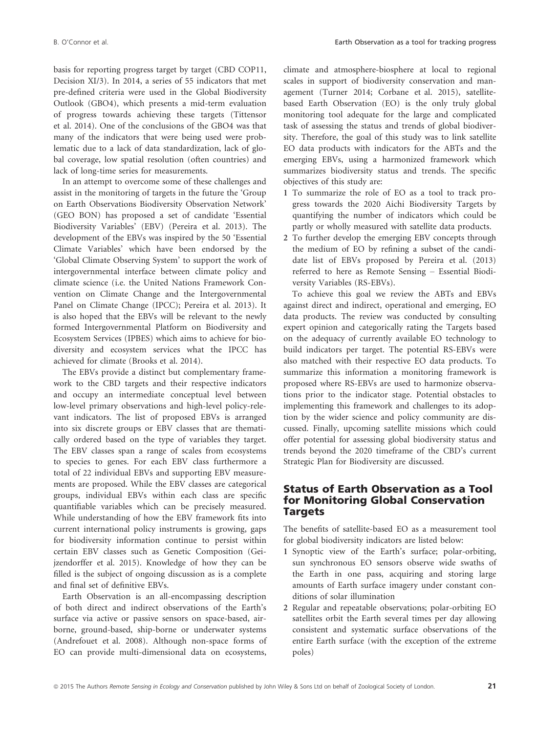basis for reporting progress target by target (CBD COP11, Decision XI/3). In 2014, a series of 55 indicators that met pre-defined criteria were used in the Global Biodiversity Outlook (GBO4), which presents a mid-term evaluation of progress towards achieving these targets (Tittensor et al. 2014). One of the conclusions of the GBO4 was that many of the indicators that were being used were problematic due to a lack of data standardization, lack of global coverage, low spatial resolution (often countries) and lack of long-time series for measurements.

In an attempt to overcome some of these challenges and assist in the monitoring of targets in the future the 'Group on Earth Observations Biodiversity Observation Network' (GEO BON) has proposed a set of candidate 'Essential Biodiversity Variables' (EBV) (Pereira et al. 2013). The development of the EBVs was inspired by the 50 'Essential Climate Variables' which have been endorsed by the 'Global Climate Observing System' to support the work of intergovernmental interface between climate policy and climate science (i.e. the United Nations Framework Convention on Climate Change and the Intergovernmental Panel on Climate Change (IPCC); Pereira et al. 2013). It is also hoped that the EBVs will be relevant to the newly formed Intergovernmental Platform on Biodiversity and Ecosystem Services (IPBES) which aims to achieve for biodiversity and ecosystem services what the IPCC has achieved for climate (Brooks et al. 2014).

The EBVs provide a distinct but complementary framework to the CBD targets and their respective indicators and occupy an intermediate conceptual level between low-level primary observations and high-level policy-relevant indicators. The list of proposed EBVs is arranged into six discrete groups or EBV classes that are thematically ordered based on the type of variables they target. The EBV classes span a range of scales from ecosystems to species to genes. For each EBV class furthermore a total of 22 individual EBVs and supporting EBV measurements are proposed. While the EBV classes are categorical groups, individual EBVs within each class are specific quantifiable variables which can be precisely measured. While understanding of how the EBV framework fits into current international policy instruments is growing, gaps for biodiversity information continue to persist within certain EBV classes such as Genetic Composition (Geijzendorffer et al. 2015). Knowledge of how they can be filled is the subject of ongoing discussion as is a complete and final set of definitive EBVs.

Earth Observation is an all-encompassing description of both direct and indirect observations of the Earth's surface via active or passive sensors on space-based, airborne, ground-based, ship-borne or underwater systems (Andrefouet et al. 2008). Although non-space forms of EO can provide multi-dimensional data on ecosystems, climate and atmosphere-biosphere at local to regional scales in support of biodiversity conservation and management (Turner 2014; Corbane et al. 2015), satellitebased Earth Observation (EO) is the only truly global monitoring tool adequate for the large and complicated task of assessing the status and trends of global biodiversity. Therefore, the goal of this study was to link satellite EO data products with indicators for the ABTs and the emerging EBVs, using a harmonized framework which summarizes biodiversity status and trends. The specific objectives of this study are:

- 1 To summarize the role of EO as a tool to track progress towards the 2020 Aichi Biodiversity Targets by quantifying the number of indicators which could be partly or wholly measured with satellite data products.
- 2 To further develop the emerging EBV concepts through the medium of EO by refining a subset of the candidate list of EBVs proposed by Pereira et al. (2013) referred to here as Remote Sensing – Essential Biodiversity Variables (RS-EBVs).

To achieve this goal we review the ABTs and EBVs against direct and indirect, operational and emerging, EO data products. The review was conducted by consulting expert opinion and categorically rating the Targets based on the adequacy of currently available EO technology to build indicators per target. The potential RS-EBVs were also matched with their respective EO data products. To summarize this information a monitoring framework is proposed where RS-EBVs are used to harmonize observations prior to the indicator stage. Potential obstacles to implementing this framework and challenges to its adoption by the wider science and policy community are discussed. Finally, upcoming satellite missions which could offer potential for assessing global biodiversity status and trends beyond the 2020 timeframe of the CBD's current Strategic Plan for Biodiversity are discussed.

#### Status of Earth Observation as a Tool for Monitoring Global Conservation Targets

The benefits of satellite-based EO as a measurement tool for global biodiversity indicators are listed below:

- 1 Synoptic view of the Earth's surface; polar-orbiting, sun synchronous EO sensors observe wide swaths of the Earth in one pass, acquiring and storing large amounts of Earth surface imagery under constant conditions of solar illumination
- 2 Regular and repeatable observations; polar-orbiting EO satellites orbit the Earth several times per day allowing consistent and systematic surface observations of the entire Earth surface (with the exception of the extreme poles)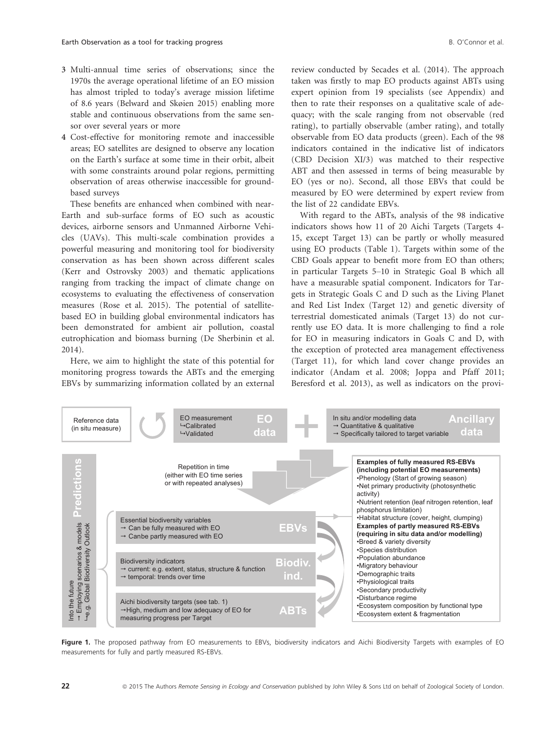- 3 Multi-annual time series of observations; since the 1970s the average operational lifetime of an EO mission has almost tripled to today's average mission lifetime of 8.6 years (Belward and Skøien 2015) enabling more stable and continuous observations from the same sensor over several years or more
- 4 Cost-effective for monitoring remote and inaccessible areas; EO satellites are designed to observe any location on the Earth's surface at some time in their orbit, albeit with some constraints around polar regions, permitting observation of areas otherwise inaccessible for groundbased surveys

These benefits are enhanced when combined with near-Earth and sub-surface forms of EO such as acoustic devices, airborne sensors and Unmanned Airborne Vehicles (UAVs). This multi-scale combination provides a powerful measuring and monitoring tool for biodiversity conservation as has been shown across different scales (Kerr and Ostrovsky 2003) and thematic applications ranging from tracking the impact of climate change on ecosystems to evaluating the effectiveness of conservation measures (Rose et al. 2015). The potential of satellitebased EO in building global environmental indicators has been demonstrated for ambient air pollution, coastal eutrophication and biomass burning (De Sherbinin et al. 2014).

Here, we aim to highlight the state of this potential for monitoring progress towards the ABTs and the emerging EBVs by summarizing information collated by an external

review conducted by Secades et al. (2014). The approach taken was firstly to map EO products against ABTs using expert opinion from 19 specialists (see Appendix) and then to rate their responses on a qualitative scale of adequacy; with the scale ranging from not observable (red rating), to partially observable (amber rating), and totally observable from EO data products (green). Each of the 98 indicators contained in the indicative list of indicators (CBD Decision XI/3) was matched to their respective ABT and then assessed in terms of being measurable by EO (yes or no). Second, all those EBVs that could be measured by EO were determined by expert review from the list of 22 candidate EBVs.

With regard to the ABTs, analysis of the 98 indicative indicators shows how 11 of 20 Aichi Targets (Targets 4- 15, except Target 13) can be partly or wholly measured using EO products (Table 1). Targets within some of the CBD Goals appear to benefit more from EO than others; in particular Targets 5–10 in Strategic Goal B which all have a measurable spatial component. Indicators for Targets in Strategic Goals C and D such as the Living Planet and Red List Index (Target 12) and genetic diversity of terrestrial domesticated animals (Target 13) do not currently use EO data. It is more challenging to find a role for EO in measuring indicators in Goals C and D, with the exception of protected area management effectiveness (Target 11), for which land cover change provides an indicator (Andam et al. 2008; Joppa and Pfaff 2011; Beresford et al. 2013), as well as indicators on the provi-



Figure 1. The proposed pathway from EO measurements to EBVs, biodiversity indicators and Aichi Biodiversity Targets with examples of EO measurements for fully and partly measured RS-EBVs.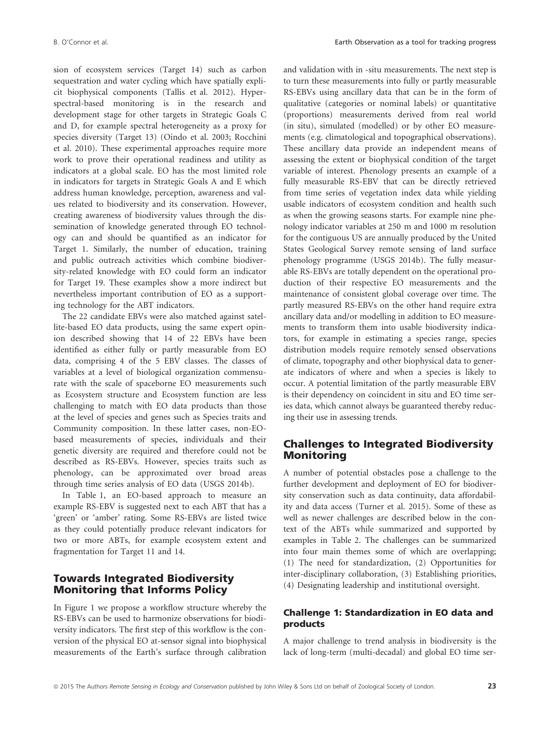sion of ecosystem services (Target 14) such as carbon sequestration and water cycling which have spatially explicit biophysical components (Tallis et al. 2012). Hyperspectral-based monitoring is in the research and development stage for other targets in Strategic Goals C and D, for example spectral heterogeneity as a proxy for species diversity (Target 13) (Oindo et al. 2003; Rocchini et al. 2010). These experimental approaches require more work to prove their operational readiness and utility as indicators at a global scale. EO has the most limited role in indicators for targets in Strategic Goals A and E which address human knowledge, perception, awareness and values related to biodiversity and its conservation. However, creating awareness of biodiversity values through the dissemination of knowledge generated through EO technology can and should be quantified as an indicator for Target 1. Similarly, the number of education, training and public outreach activities which combine biodiversity-related knowledge with EO could form an indicator for Target 19. These examples show a more indirect but nevertheless important contribution of EO as a supporting technology for the ABT indicators.

The 22 candidate EBVs were also matched against satellite-based EO data products, using the same expert opinion described showing that 14 of 22 EBVs have been identified as either fully or partly measurable from EO data, comprising 4 of the 5 EBV classes. The classes of variables at a level of biological organization commensurate with the scale of spaceborne EO measurements such as Ecosystem structure and Ecosystem function are less challenging to match with EO data products than those at the level of species and genes such as Species traits and Community composition. In these latter cases, non-EObased measurements of species, individuals and their genetic diversity are required and therefore could not be described as RS-EBVs. However, species traits such as phenology, can be approximated over broad areas through time series analysis of EO data (USGS 2014b).

In Table 1, an EO-based approach to measure an example RS-EBV is suggested next to each ABT that has a 'green' or 'amber' rating. Some RS-EBVs are listed twice as they could potentially produce relevant indicators for two or more ABTs, for example ecosystem extent and fragmentation for Target 11 and 14.

#### Towards Integrated Biodiversity Monitoring that Informs Policy

In Figure 1 we propose a workflow structure whereby the RS-EBVs can be used to harmonize observations for biodiversity indicators. The first step of this workflow is the conversion of the physical EO at-sensor signal into biophysical measurements of the Earth's surface through calibration and validation with in -situ measurements. The next step is to turn these measurements into fully or partly measurable RS-EBVs using ancillary data that can be in the form of qualitative (categories or nominal labels) or quantitative (proportions) measurements derived from real world (in situ), simulated (modelled) or by other EO measurements (e.g. climatological and topographical observations). These ancillary data provide an independent means of assessing the extent or biophysical condition of the target variable of interest. Phenology presents an example of a fully measurable RS-EBV that can be directly retrieved from time series of vegetation index data while yielding usable indicators of ecosystem condition and health such as when the growing seasons starts. For example nine phenology indicator variables at 250 m and 1000 m resolution for the contiguous US are annually produced by the United States Geological Survey remote sensing of land surface phenology programme (USGS 2014b). The fully measurable RS-EBVs are totally dependent on the operational production of their respective EO measurements and the maintenance of consistent global coverage over time. The partly measured RS-EBVs on the other hand require extra ancillary data and/or modelling in addition to EO measurements to transform them into usable biodiversity indicators, for example in estimating a species range, species distribution models require remotely sensed observations of climate, topography and other biophysical data to generate indicators of where and when a species is likely to occur. A potential limitation of the partly measurable EBV is their dependency on coincident in situ and EO time series data, which cannot always be guaranteed thereby reducing their use in assessing trends.

#### Challenges to Integrated Biodiversity **Monitoring**

A number of potential obstacles pose a challenge to the further development and deployment of EO for biodiversity conservation such as data continuity, data affordability and data access (Turner et al. 2015). Some of these as well as newer challenges are described below in the context of the ABTs while summarized and supported by examples in Table 2. The challenges can be summarized into four main themes some of which are overlapping; (1) The need for standardization, (2) Opportunities for inter-disciplinary collaboration, (3) Establishing priorities, (4) Designating leadership and institutional oversight.

#### Challenge 1: Standardization in EO data and products

A major challenge to trend analysis in biodiversity is the lack of long-term (multi-decadal) and global EO time ser-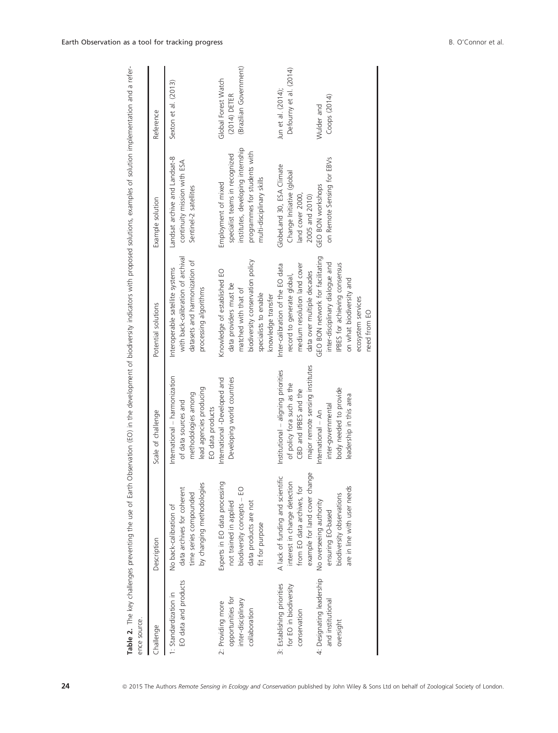| ence source.                                                                  |                                                                                                                                   |                                                                                                                               |                                                                                                                                                                        |                                                                                                                                                         |                                                               |
|-------------------------------------------------------------------------------|-----------------------------------------------------------------------------------------------------------------------------------|-------------------------------------------------------------------------------------------------------------------------------|------------------------------------------------------------------------------------------------------------------------------------------------------------------------|---------------------------------------------------------------------------------------------------------------------------------------------------------|---------------------------------------------------------------|
| Challenge                                                                     | Description                                                                                                                       | Scale of challenge                                                                                                            | Potential solutions                                                                                                                                                    | Example solution                                                                                                                                        | Reference                                                     |
| EO data and products<br>1: Standardization in                                 | by changing methodologies<br>data archives for coherent<br>time series compounded<br>No back-calibration of                       | International - harmonization<br>lead agencies producing<br>methodologies among<br>of data sources and<br>EO data products    | with back-calibration of archival<br>datasets and harmonization of<br>Interoperable satellite systems<br>processing algorithms                                         | Landsat archive and Landsat-8<br>continuity mission with ESA<br>Sentinel-2 satellites                                                                   | Sexton et al. (2013)                                          |
| opportunities for<br>inter-disciplinary<br>2: Providing more<br>collaboration | Experts in EO data processing<br>biodiversity concepts - EO<br>data products are not<br>not trained in applied<br>fit for purpose | Developing world countries<br>International -Developed and                                                                    | biodiversity conservation policy<br>Knowledge of established EO<br>data providers must be<br>matched with that of<br>specialists to enable<br>knowledge transfer       | institutes, developing internship<br>programmes for students with<br>specialist teams in recognized<br>multi-disciplinary skills<br>Employment of mixed | (Brazilian Government)<br>Global Forest Watch<br>(2014) DETER |
| 3: Establishing priorities<br>for EO in biodiversity<br>conservation          | example for land cover change<br>A lack of funding and scientific<br>interest in change detection<br>from EO data archives, for   | major remote sensing institutes<br>Institutional - aligning priorities<br>of policy fora such as the<br>CBD and IPBES and the | Inter-calibration of the EO data<br>medium resolution land cover<br>data over multiple decades<br>record to generate global,                                           | GlobeLand 30, ESA Climate<br>Change Initiative (global<br>land cover 2000,<br>2005 and 2010)                                                            | Defourny et al. (2014)<br>Jun et al. (2014);                  |
| 4: Designating leadership<br>and institutional<br>oversight                   | are in line with user needs<br>biodiversity observations<br>No overseeing authority<br>ensuring EO-based                          | body needed to provide<br>leadership in this area<br>inter-governmental<br>International - An                                 | GEO BON network for facilitating<br>inter-disciplinary dialogue and<br>IPBES for achieving consensus<br>on what biodiversity and<br>ecosystem services<br>need from EO | on Remote Sensing for EBVs<br>GEO BON workshops                                                                                                         | Coops (2014)<br>Wulder and                                    |

Table 2. The key challenges preventing the use of Earth Observation (EO) in the development of biodiversity indicators with proposed solutions, examples of solution implementation and a refer-

Table 2. The key challenges preventing the use of Earth Observation (EO) in the development of biodiversity indicators with proposed solutions, examples of solution implementation and a refer-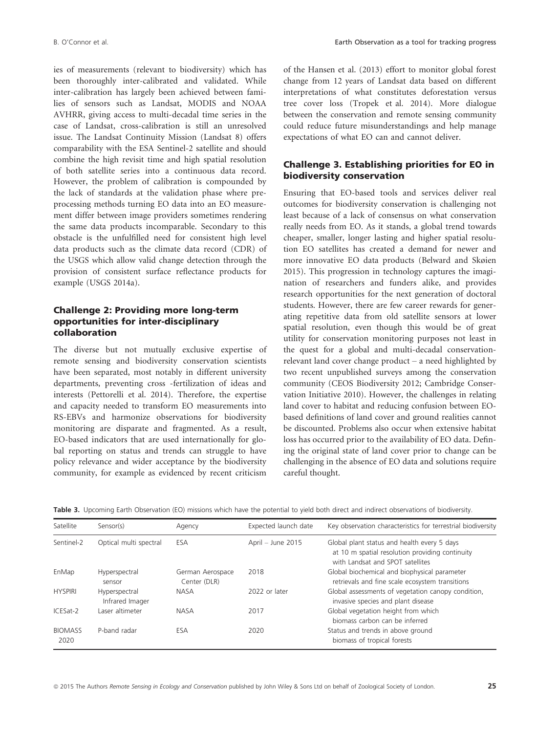ies of measurements (relevant to biodiversity) which has been thoroughly inter-calibrated and validated. While inter-calibration has largely been achieved between families of sensors such as Landsat, MODIS and NOAA AVHRR, giving access to multi-decadal time series in the case of Landsat, cross-calibration is still an unresolved issue. The Landsat Continuity Mission (Landsat 8) offers comparability with the ESA Sentinel-2 satellite and should combine the high revisit time and high spatial resolution of both satellite series into a continuous data record. However, the problem of calibration is compounded by the lack of standards at the validation phase where preprocessing methods turning EO data into an EO measurement differ between image providers sometimes rendering the same data products incomparable. Secondary to this obstacle is the unfulfilled need for consistent high level data products such as the climate data record (CDR) of the USGS which allow valid change detection through the provision of consistent surface reflectance products for example (USGS 2014a).

#### Challenge 2: Providing more long-term opportunities for inter-disciplinary collaboration

The diverse but not mutually exclusive expertise of remote sensing and biodiversity conservation scientists have been separated, most notably in different university departments, preventing cross -fertilization of ideas and interests (Pettorelli et al. 2014). Therefore, the expertise and capacity needed to transform EO measurements into RS-EBVs and harmonize observations for biodiversity monitoring are disparate and fragmented. As a result, EO-based indicators that are used internationally for global reporting on status and trends can struggle to have policy relevance and wider acceptance by the biodiversity community, for example as evidenced by recent criticism of the Hansen et al. (2013) effort to monitor global forest change from 12 years of Landsat data based on different interpretations of what constitutes deforestation versus tree cover loss (Tropek et al. 2014). More dialogue between the conservation and remote sensing community could reduce future misunderstandings and help manage expectations of what EO can and cannot deliver.

#### Challenge 3. Establishing priorities for EO in biodiversity conservation

Ensuring that EO-based tools and services deliver real outcomes for biodiversity conservation is challenging not least because of a lack of consensus on what conservation really needs from EO. As it stands, a global trend towards cheaper, smaller, longer lasting and higher spatial resolution EO satellites has created a demand for newer and more innovative EO data products (Belward and Skøien 2015). This progression in technology captures the imagination of researchers and funders alike, and provides research opportunities for the next generation of doctoral students. However, there are few career rewards for generating repetitive data from old satellite sensors at lower spatial resolution, even though this would be of great utility for conservation monitoring purposes not least in the quest for a global and multi-decadal conservationrelevant land cover change product – a need highlighted by two recent unpublished surveys among the conservation community (CEOS Biodiversity 2012; Cambridge Conservation Initiative 2010). However, the challenges in relating land cover to habitat and reducing confusion between EObased definitions of land cover and ground realities cannot be discounted. Problems also occur when extensive habitat loss has occurred prior to the availability of EO data. Defining the original state of land cover prior to change can be challenging in the absence of EO data and solutions require careful thought.

|  | Table 3. Upcoming Earth Observation (EO) missions which have the potential to vield both direct and indirect observations of biodiversity. |  |  |  |
|--|--------------------------------------------------------------------------------------------------------------------------------------------|--|--|--|
|  |                                                                                                                                            |  |  |  |

| Satellite              | Sensor(s)                        | Agency                           | Expected launch date | Key observation characteristics for terrestrial biodiversity                                                                       |
|------------------------|----------------------------------|----------------------------------|----------------------|------------------------------------------------------------------------------------------------------------------------------------|
| Sentinel-2             | Optical multi spectral           | ESA                              | April - June 2015    | Global plant status and health every 5 days<br>at 10 m spatial resolution providing continuity<br>with Landsat and SPOT satellites |
| EnMap                  | Hyperspectral<br>sensor          | German Aerospace<br>Center (DLR) | 2018                 | Global biochemical and biophysical parameter<br>retrievals and fine scale ecosystem transitions                                    |
| <b>HYSPIRI</b>         | Hyperspectral<br>Infrared Imager | <b>NASA</b>                      | 2022 or later        | Global assessments of vegetation canopy condition,<br>invasive species and plant disease                                           |
| ICESat-2               | Laser altimeter                  | <b>NASA</b>                      | 2017                 | Global vegetation height from which<br>biomass carbon can be inferred                                                              |
| <b>BIOMASS</b><br>2020 | P-band radar                     | ESA                              | 2020                 | Status and trends in above ground<br>biomass of tropical forests                                                                   |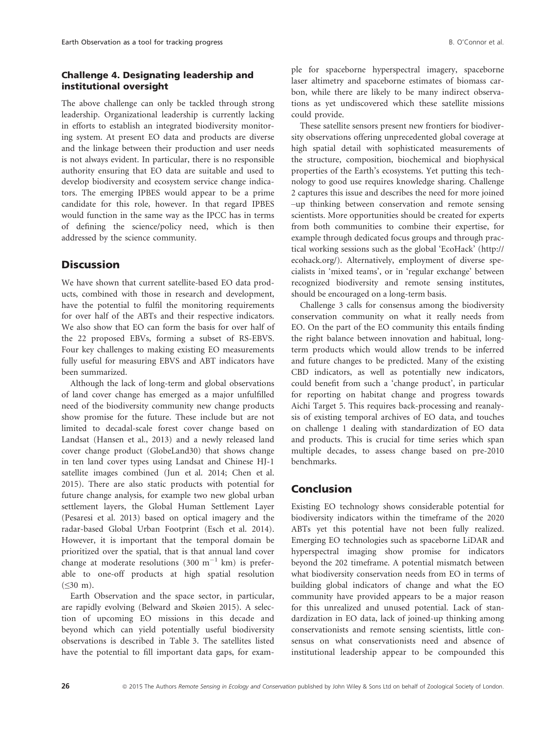#### Challenge 4. Designating leadership and institutional oversight

The above challenge can only be tackled through strong leadership. Organizational leadership is currently lacking in efforts to establish an integrated biodiversity monitoring system. At present EO data and products are diverse and the linkage between their production and user needs is not always evident. In particular, there is no responsible authority ensuring that EO data are suitable and used to develop biodiversity and ecosystem service change indicators. The emerging IPBES would appear to be a prime candidate for this role, however. In that regard IPBES would function in the same way as the IPCC has in terms of defining the science/policy need, which is then addressed by the science community.

## **Discussion**

We have shown that current satellite-based EO data products, combined with those in research and development, have the potential to fulfil the monitoring requirements for over half of the ABTs and their respective indicators. We also show that EO can form the basis for over half of the 22 proposed EBVs, forming a subset of RS-EBVS. Four key challenges to making existing EO measurements fully useful for measuring EBVS and ABT indicators have been summarized.

Although the lack of long-term and global observations of land cover change has emerged as a major unfulfilled need of the biodiversity community new change products show promise for the future. These include but are not limited to decadal-scale forest cover change based on Landsat (Hansen et al., 2013) and a newly released land cover change product (GlobeLand30) that shows change in ten land cover types using Landsat and Chinese HJ-1 satellite images combined (Jun et al. 2014; Chen et al. 2015). There are also static products with potential for future change analysis, for example two new global urban settlement layers, the Global Human Settlement Layer (Pesaresi et al. 2013) based on optical imagery and the radar-based Global Urban Footprint (Esch et al. 2014). However, it is important that the temporal domain be prioritized over the spatial, that is that annual land cover change at moderate resolutions (300  $m^{-1}$  km) is preferable to one-off products at high spatial resolution  $(< 30 \text{ m})$ .

Earth Observation and the space sector, in particular, are rapidly evolving (Belward and Skøien 2015). A selection of upcoming EO missions in this decade and beyond which can yield potentially useful biodiversity observations is described in Table 3. The satellites listed have the potential to fill important data gaps, for example for spaceborne hyperspectral imagery, spaceborne laser altimetry and spaceborne estimates of biomass carbon, while there are likely to be many indirect observations as yet undiscovered which these satellite missions could provide.

These satellite sensors present new frontiers for biodiversity observations offering unprecedented global coverage at high spatial detail with sophisticated measurements of the structure, composition, biochemical and biophysical properties of the Earth's ecosystems. Yet putting this technology to good use requires knowledge sharing. Challenge 2 captures this issue and describes the need for more joined –up thinking between conservation and remote sensing scientists. More opportunities should be created for experts from both communities to combine their expertise, for example through dedicated focus groups and through practical working sessions such as the global 'EcoHack' ([http://](http://ecohack.org/) [ecohack.org/](http://ecohack.org/)). Alternatively, employment of diverse specialists in 'mixed teams', or in 'regular exchange' between recognized biodiversity and remote sensing institutes, should be encouraged on a long-term basis.

Challenge 3 calls for consensus among the biodiversity conservation community on what it really needs from EO. On the part of the EO community this entails finding the right balance between innovation and habitual, longterm products which would allow trends to be inferred and future changes to be predicted. Many of the existing CBD indicators, as well as potentially new indicators, could benefit from such a 'change product', in particular for reporting on habitat change and progress towards Aichi Target 5. This requires back-processing and reanalysis of existing temporal archives of EO data, and touches on challenge 1 dealing with standardization of EO data and products. This is crucial for time series which span multiple decades, to assess change based on pre-2010 benchmarks.

## Conclusion

Existing EO technology shows considerable potential for biodiversity indicators within the timeframe of the 2020 ABTs yet this potential have not been fully realized. Emerging EO technologies such as spaceborne LiDAR and hyperspectral imaging show promise for indicators beyond the 202 timeframe. A potential mismatch between what biodiversity conservation needs from EO in terms of building global indicators of change and what the EO community have provided appears to be a major reason for this unrealized and unused potential. Lack of standardization in EO data, lack of joined-up thinking among conservationists and remote sensing scientists, little consensus on what conservationists need and absence of institutional leadership appear to be compounded this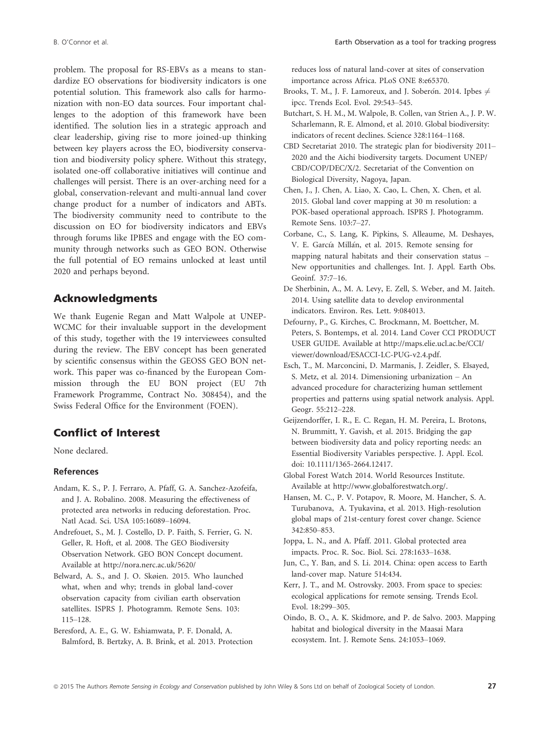problem. The proposal for RS-EBVs as a means to standardize EO observations for biodiversity indicators is one potential solution. This framework also calls for harmonization with non-EO data sources. Four important challenges to the adoption of this framework have been identified. The solution lies in a strategic approach and clear leadership, giving rise to more joined-up thinking between key players across the EO, biodiversity conservation and biodiversity policy sphere. Without this strategy, isolated one-off collaborative initiatives will continue and challenges will persist. There is an over-arching need for a global, conservation-relevant and multi-annual land cover change product for a number of indicators and ABTs. The biodiversity community need to contribute to the discussion on EO for biodiversity indicators and EBVs through forums like IPBES and engage with the EO community through networks such as GEO BON. Otherwise the full potential of EO remains unlocked at least until 2020 and perhaps beyond.

#### Acknowledgments

We thank Eugenie Regan and Matt Walpole at UNEP-WCMC for their invaluable support in the development of this study, together with the 19 interviewees consulted during the review. The EBV concept has been generated by scientific consensus within the GEOSS GEO BON network. This paper was co-financed by the European Commission through the EU BON project (EU 7th Framework Programme, Contract No. 308454), and the Swiss Federal Office for the Environment (FOEN).

## Conflict of Interest

None declared.

#### References

- Andam, K. S., P. J. Ferraro, A. Pfaff, G. A. Sanchez-Azofeifa, and J. A. Robalino. 2008. Measuring the effectiveness of protected area networks in reducing deforestation. Proc. Natl Acad. Sci. USA 105:16089–16094.
- Andrefouet, S., M. J. Costello, D. P. Faith, S. Ferrier, G. N. Geller, R. Hoft, et al. 2008. The GEO Biodiversity Observation Network. GEO BON Concept document. Available at<http://nora.nerc.ac.uk/5620/>
- Belward, A. S., and J. O. Skøien. 2015. Who launched what, when and why; trends in global land-cover observation capacity from civilian earth observation satellites. ISPRS J. Photogramm. Remote Sens. 103: 115–128.
- Beresford, A. E., G. W. Eshiamwata, P. F. Donald, A. Balmford, B. Bertzky, A. B. Brink, et al. 2013. Protection

reduces loss of natural land-cover at sites of conservation importance across Africa. PLoS ONE 8:e65370.

- Brooks, T. M., J. F. Lamoreux, and J. Soberón. 2014. Ipbes  $\neq$ ipcc. Trends Ecol. Evol. 29:543–545.
- Butchart, S. H. M., M. Walpole, B. Collen, van Strien A., J. P. W. Scharlemann, R. E. Almond, et al. 2010. Global biodiversity: indicators of recent declines. Science 328:1164–1168.
- CBD Secretariat 2010. The strategic plan for biodiversity 2011– 2020 and the Aichi biodiversity targets. Document UNEP/ CBD/COP/DEC/X/2. Secretariat of the Convention on Biological Diversity, Nagoya, Japan.
- Chen, J., J. Chen, A. Liao, X. Cao, L. Chen, X. Chen, et al. 2015. Global land cover mapping at 30 m resolution: a POK-based operational approach. ISPRS J. Photogramm. Remote Sens. 103:7–27.
- Corbane, C., S. Lang, K. Pipkins, S. Alleaume, M. Deshayes, V. E. García Millán, et al. 2015. Remote sensing for mapping natural habitats and their conservation status – New opportunities and challenges. Int. J. Appl. Earth Obs. Geoinf. 37:7–16.
- De Sherbinin, A., M. A. Levy, E. Zell, S. Weber, and M. Jaiteh. 2014. Using satellite data to develop environmental indicators. Environ. Res. Lett. 9:084013.
- Defourny, P., G. Kirches, C. Brockmann, M. Boettcher, M. Peters, S. Bontemps, et al. 2014. Land Cover CCI PRODUCT USER GUIDE. Available at [http://maps.elie.ucl.ac.be/CCI/](http://maps.elie.ucl.ac.be/CCI/viewer/download/ESACCI-LC-PUG-v2.4.pdf) [viewer/download/ESACCI-LC-PUG-v2.4.pdf.](http://maps.elie.ucl.ac.be/CCI/viewer/download/ESACCI-LC-PUG-v2.4.pdf)
- Esch, T., M. Marconcini, D. Marmanis, J. Zeidler, S. Elsayed, S. Metz, et al. 2014. Dimensioning urbanization – An advanced procedure for characterizing human settlement properties and patterns using spatial network analysis. Appl. Geogr. 55:212–228.
- Geijzendorffer, I. R., E. C. Regan, H. M. Pereira, L. Brotons, N. Brummitt, Y. Gavish, et al. 2015. Bridging the gap between biodiversity data and policy reporting needs: an Essential Biodiversity Variables perspective. J. Appl. Ecol. doi: [10.1111/1365-2664.12417](http://dx.doi.org/10.1111/1365-2664.12417).
- Global Forest Watch 2014. World Resources Institute. Available at [http://www.globalforestwatch.org/.](http://www.globalforestwatch.org/)
- Hansen, M. C., P. V. Potapov, R. Moore, M. Hancher, S. A. Turubanova, A. Tyukavina, et al. 2013. High-resolution global maps of 21st-century forest cover change. Science 342:850–853.
- Joppa, L. N., and A. Pfaff. 2011. Global protected area impacts. Proc. R. Soc. Biol. Sci. 278:1633–1638.
- Jun, C., Y. Ban, and S. Li. 2014. China: open access to Earth land-cover map. Nature 514:434.
- Kerr, J. T., and M. Ostrovsky. 2003. From space to species: ecological applications for remote sensing. Trends Ecol. Evol. 18:299–305.
- Oindo, B. O., A. K. Skidmore, and P. de Salvo. 2003. Mapping habitat and biological diversity in the Maasai Mara ecosystem. Int. J. Remote Sens. 24:1053–1069.